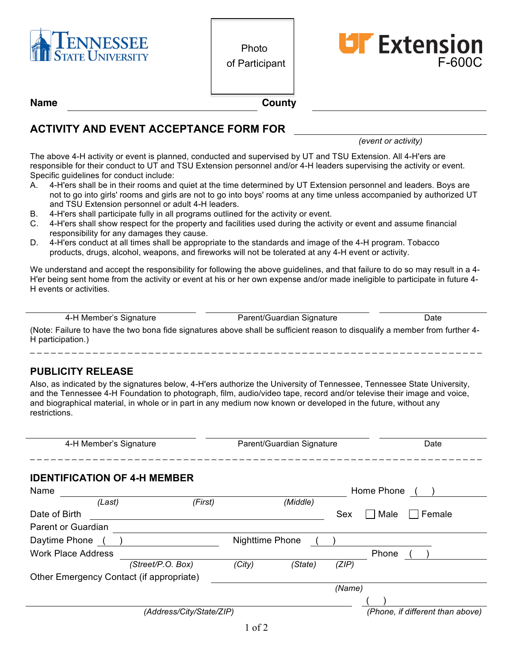



**Name County**

### **ACTIVITY AND EVENT ACCEPTANCE FORM FOR**

*(event or activity)*

The above 4-H activity or event is planned, conducted and supervised by UT and TSU Extension. All 4-H'ers are responsible for their conduct to UT and TSU Extension personnel and/or 4-H leaders supervising the activity or event. Specific guidelines for conduct include:

- A. 4-H'ers shall be in their rooms and quiet at the time determined by UT Extension personnel and leaders. Boys are not to go into girls' rooms and girls are not to go into boys' rooms at any time unless accompanied by authorized UT and TSU Extension personnel or adult 4-H leaders.
- B. 4-H'ers shall participate fully in all programs outlined for the activity or event.
- C. 4-H'ers shall show respect for the property and facilities used during the activity or event and assume financial responsibility for any damages they cause.
- D. 4-H'ers conduct at all times shall be appropriate to the standards and image of the 4-H program. Tobacco products, drugs, alcohol, weapons, and fireworks will not be tolerated at any 4-H event or activity.

We understand and accept the responsibility for following the above guidelines, and that failure to do so may result in a 4- H'er being sent home from the activity or event at his or her own expense and/or made ineligible to participate in future 4- H events or activities.

4-H Member's Signature **Parent/Guardian Signature** Date

(Note: Failure to have the two bona fide signatures above shall be sufficient reason to disqualify a member from further 4- H participation.) \_ \_ \_ \_ \_ \_ \_ \_ \_ \_ \_ \_ \_ \_ \_ \_ \_ \_ \_ \_ \_ \_ \_ \_ \_ \_ \_ \_ \_ \_ \_ \_ \_ \_ \_ \_ \_ \_ \_ \_ \_ \_ \_ \_ \_ \_ \_ \_ \_ \_ \_ \_ \_ \_ \_ \_ \_ \_ \_ \_ \_ \_ \_ \_ \_

#### **PUBLICITY RELEASE**

Also, as indicated by the signatures below, 4-H'ers authorize the University of Tennessee, Tennessee State University, and the Tennessee 4-H Foundation to photograph, film, audio/video tape, record and/or televise their image and voice, and biographical material, in whole or in part in any medium now known or developed in the future, without any restrictions.

| 4-H Member's Signature                   |                   | Parent/Guardian Signature |          |        | Date                             |  |
|------------------------------------------|-------------------|---------------------------|----------|--------|----------------------------------|--|
| <b>IDENTIFICATION OF 4-H MEMBER</b>      |                   |                           |          |        |                                  |  |
| Name                                     |                   |                           |          |        | Home Phone                       |  |
| (Last)                                   | (First)           |                           | (Middle) |        |                                  |  |
| Date of Birth                            |                   |                           |          | Sex    | Male<br>Female                   |  |
| Parent or Guardian                       |                   |                           |          |        |                                  |  |
| Daytime Phone                            |                   | <b>Nighttime Phone</b>    |          |        |                                  |  |
| <b>Work Place Address</b>                |                   |                           |          |        | Phone                            |  |
|                                          | (Street/P.O. Box) | (City)                    | (State)  | (ZIP)  |                                  |  |
| Other Emergency Contact (if appropriate) |                   |                           |          |        |                                  |  |
|                                          |                   |                           |          | (Name) |                                  |  |
|                                          |                   |                           |          |        |                                  |  |
| (Address/City/State/ZIP)                 |                   |                           |          |        | (Phone, if different than above) |  |